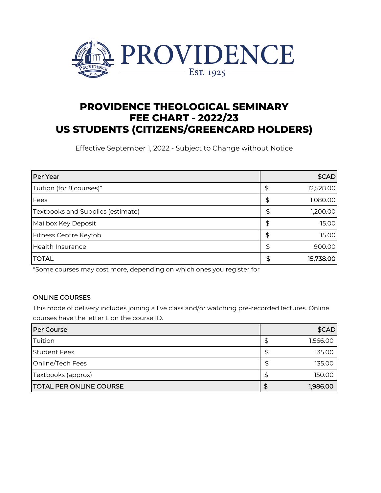

# **PROVIDENCE THEOLOGICAL SEMINARY FEE CHART - 2022/23 US STUDENTS (CITIZENS/GREENCARD HOLDERS)**

Effective September 1, 2022 - Subject to Change without Notice

| Per Year                          |    | \$CAD     |
|-----------------------------------|----|-----------|
| Tuition (for 8 courses)*          | \$ | 12,528.00 |
| Fees                              | \$ | 1,080.00  |
| Textbooks and Supplies (estimate) | \$ | 1,200.00  |
| Mailbox Key Deposit               | \$ | 15.00     |
| Fitness Centre Keyfob             | S  | 15.00     |
| <b>Health Insurance</b>           | \$ | 900.00    |
| <b>ITOTAL</b>                     | S  | 15,738.00 |

\*Some courses may cost more, depending on which ones you register for

#### ONLINE COURSES

This mode of delivery includes joining a live class and/or watching pre-recorded lectures. Online courses have the letter L on the course ID.

| <b>Per Course</b>               |   | \$CAD    |
|---------------------------------|---|----------|
| Tuition                         |   | 1,566.00 |
| <b>Student Fees</b>             | ₽ | 135.00   |
| Online/Tech Fees                |   | 135.00   |
| Textbooks (approx)              |   | 150.00   |
| <b>ITOTAL PER ONLINE COURSE</b> |   | 1,986.00 |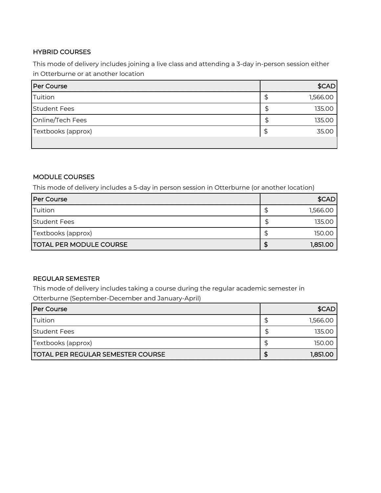## HYBRID COURSES

This mode of delivery includes joining a live class and attending a 3-day in-person session either in Otterburne or at another location

| Per Course          |   | \$CAD    |
|---------------------|---|----------|
| Tuition             | Œ | 1,566.00 |
| <b>Student Fees</b> | Œ | 135.00   |
| Online/Tech Fees    |   | 135.00   |
| Textbooks (approx)  |   | 35.00    |
|                     |   |          |

#### MODULE COURSES

This mode of delivery includes a 5-day in person session in Otterburne (or another location)

| <b>Per Course</b>              |   | \$CAD    |
|--------------------------------|---|----------|
| Tuition                        |   | 1,566.00 |
| <b>Student Fees</b>            | Œ | 135.00   |
| Textbooks (approx)             |   | 150.00   |
| <b>TOTAL PER MODULE COURSE</b> |   | 1,851.00 |

### REGULAR SEMESTER

This mode of delivery includes taking a course during the regular academic semester in

Otterburne (September-December and January-April)

| <b>Per Course</b>                        | \$CAD    |
|------------------------------------------|----------|
| Tuition                                  | 1,566.00 |
| <b>Student Fees</b>                      | 135.00   |
| Textbooks (approx)                       | 150.00   |
| <b>TOTAL PER REGULAR SEMESTER COURSE</b> | 1,851.00 |